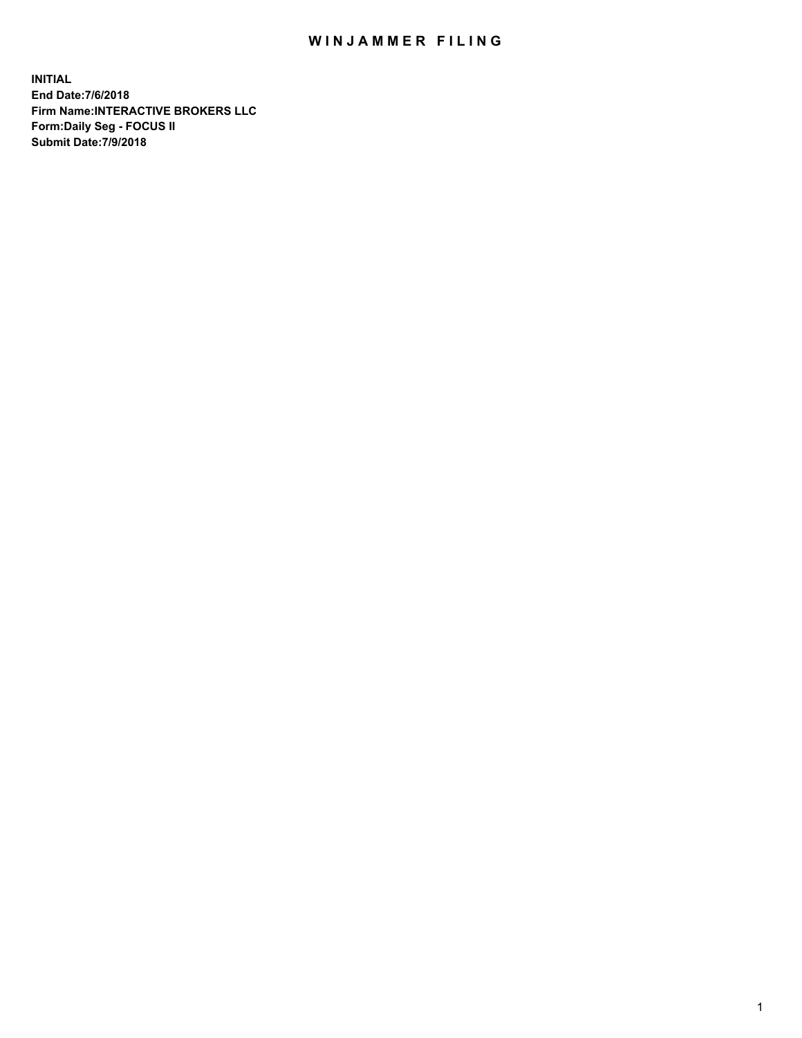## WIN JAMMER FILING

**INITIAL End Date:7/6/2018 Firm Name:INTERACTIVE BROKERS LLC Form:Daily Seg - FOCUS II Submit Date:7/9/2018**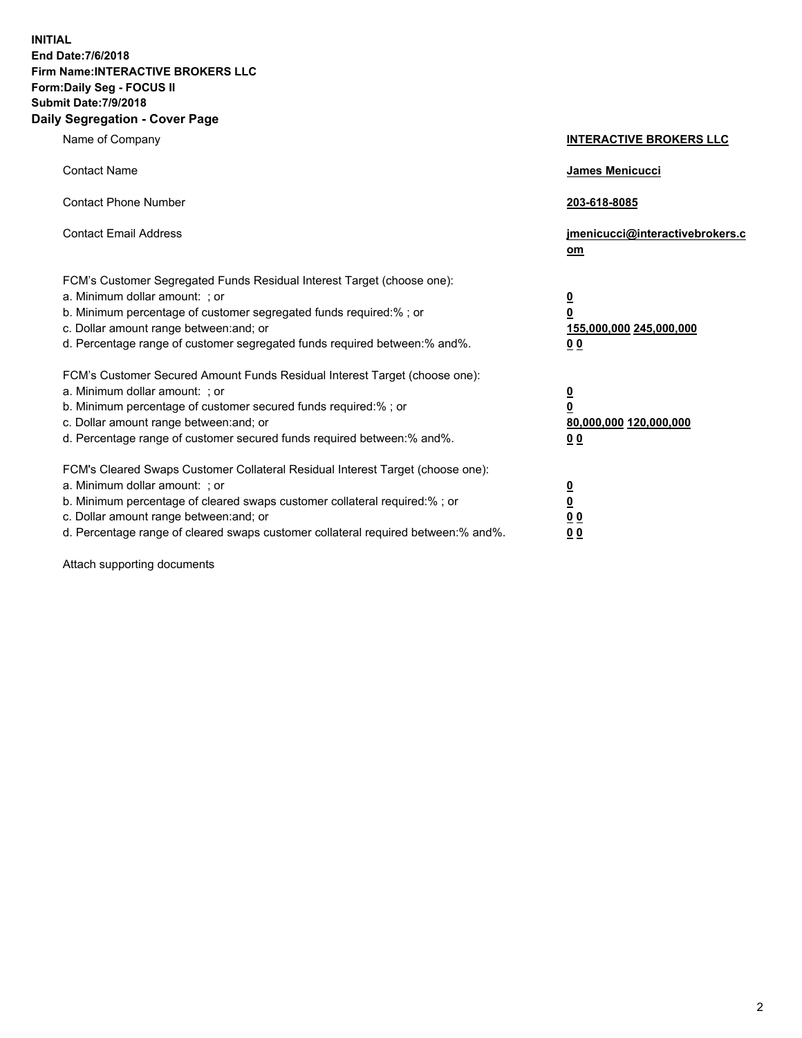**INITIAL End Date:7/6/2018 Firm Name:INTERACTIVE BROKERS LLC Form:Daily Seg - FOCUS II Submit Date:7/9/2018 Daily Segregation - Cover Page**

| Name of Company                                                                                                                                                                                                                                                                                                                | <b>INTERACTIVE BROKERS LLC</b>                                                                  |
|--------------------------------------------------------------------------------------------------------------------------------------------------------------------------------------------------------------------------------------------------------------------------------------------------------------------------------|-------------------------------------------------------------------------------------------------|
| <b>Contact Name</b>                                                                                                                                                                                                                                                                                                            | James Menicucci                                                                                 |
| <b>Contact Phone Number</b>                                                                                                                                                                                                                                                                                                    | 203-618-8085                                                                                    |
| <b>Contact Email Address</b>                                                                                                                                                                                                                                                                                                   | jmenicucci@interactivebrokers.c<br>$om$                                                         |
| FCM's Customer Segregated Funds Residual Interest Target (choose one):<br>a. Minimum dollar amount: ; or<br>b. Minimum percentage of customer segregated funds required:% ; or<br>c. Dollar amount range between: and; or<br>d. Percentage range of customer segregated funds required between:% and%.                         | $\overline{\mathbf{0}}$<br>$\overline{\mathbf{0}}$<br>155,000,000 245,000,000<br>0 <sub>0</sub> |
| FCM's Customer Secured Amount Funds Residual Interest Target (choose one):<br>a. Minimum dollar amount: ; or<br>b. Minimum percentage of customer secured funds required:%; or<br>c. Dollar amount range between: and; or<br>d. Percentage range of customer secured funds required between:% and%.                            | $\overline{\mathbf{0}}$<br>0<br>80,000,000 120,000,000<br>0 <sub>0</sub>                        |
| FCM's Cleared Swaps Customer Collateral Residual Interest Target (choose one):<br>a. Minimum dollar amount: ; or<br>b. Minimum percentage of cleared swaps customer collateral required:% ; or<br>c. Dollar amount range between: and; or<br>d. Percentage range of cleared swaps customer collateral required between:% and%. | $\frac{0}{0}$<br>0 <sub>0</sub><br>0 <sub>0</sub>                                               |

Attach supporting documents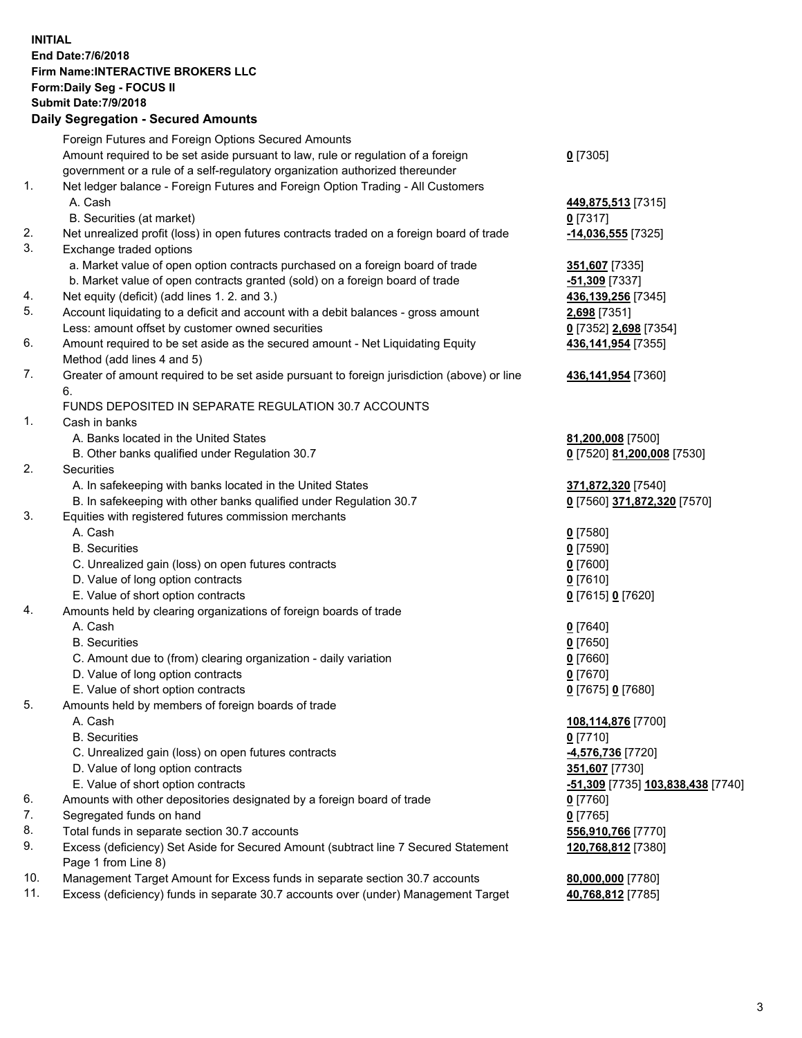## **INITIAL End Date:7/6/2018 Firm Name:INTERACTIVE BROKERS LLC Form:Daily Seg - FOCUS II Submit Date:7/9/2018 Daily Segregation - Secured Amounts**

|     | Daily Jegiegation - Jeculeu Aniounts                                                                       |                                   |
|-----|------------------------------------------------------------------------------------------------------------|-----------------------------------|
|     | Foreign Futures and Foreign Options Secured Amounts                                                        |                                   |
|     | Amount required to be set aside pursuant to law, rule or regulation of a foreign                           | $0$ [7305]                        |
|     | government or a rule of a self-regulatory organization authorized thereunder                               |                                   |
| 1.  | Net ledger balance - Foreign Futures and Foreign Option Trading - All Customers                            |                                   |
|     | A. Cash                                                                                                    | 449,875,513 [7315]                |
|     | B. Securities (at market)                                                                                  | $0$ [7317]                        |
| 2.  | Net unrealized profit (loss) in open futures contracts traded on a foreign board of trade                  | -14,036,555 [7325]                |
| 3.  | Exchange traded options                                                                                    |                                   |
|     | a. Market value of open option contracts purchased on a foreign board of trade                             | 351,607 [7335]                    |
|     | b. Market value of open contracts granted (sold) on a foreign board of trade                               | -51,309 [7337]                    |
| 4.  | Net equity (deficit) (add lines 1. 2. and 3.)                                                              | 436,139,256 [7345]                |
| 5.  | Account liquidating to a deficit and account with a debit balances - gross amount                          | 2,698 [7351]                      |
|     | Less: amount offset by customer owned securities                                                           | 0 [7352] 2,698 [7354]             |
| 6.  | Amount required to be set aside as the secured amount - Net Liquidating Equity                             | 436,141,954 [7355]                |
|     | Method (add lines 4 and 5)                                                                                 |                                   |
| 7.  | Greater of amount required to be set aside pursuant to foreign jurisdiction (above) or line                | 436,141,954 [7360]                |
|     | 6.                                                                                                         |                                   |
|     | FUNDS DEPOSITED IN SEPARATE REGULATION 30.7 ACCOUNTS                                                       |                                   |
| 1.  | Cash in banks                                                                                              |                                   |
|     | A. Banks located in the United States                                                                      | 81,200,008 [7500]                 |
|     | B. Other banks qualified under Regulation 30.7                                                             | 0 [7520] 81,200,008 [7530]        |
| 2.  | Securities                                                                                                 |                                   |
|     | A. In safekeeping with banks located in the United States                                                  | 371,872,320 [7540]                |
|     | B. In safekeeping with other banks qualified under Regulation 30.7                                         | 0 [7560] 371,872,320 [7570]       |
| 3.  | Equities with registered futures commission merchants                                                      |                                   |
|     | A. Cash                                                                                                    | $0$ [7580]                        |
|     | <b>B.</b> Securities                                                                                       | $0$ [7590]                        |
|     | C. Unrealized gain (loss) on open futures contracts                                                        | $0$ [7600]                        |
|     | D. Value of long option contracts                                                                          | $0$ [7610]                        |
|     | E. Value of short option contracts                                                                         | 0 [7615] 0 [7620]                 |
| 4.  | Amounts held by clearing organizations of foreign boards of trade                                          |                                   |
|     | A. Cash                                                                                                    | $0$ [7640]                        |
|     | <b>B.</b> Securities                                                                                       | $0$ [7650]                        |
|     | C. Amount due to (from) clearing organization - daily variation                                            | $0$ [7660]                        |
|     | D. Value of long option contracts                                                                          | $0$ [7670]                        |
|     | E. Value of short option contracts                                                                         | 0 [7675] 0 [7680]                 |
| 5.  | Amounts held by members of foreign boards of trade                                                         |                                   |
|     | A. Cash                                                                                                    | 108,114,876 [7700]                |
|     | <b>B.</b> Securities                                                                                       | $0$ [7710]                        |
|     | C. Unrealized gain (loss) on open futures contracts                                                        | -4,576,736 [7720]                 |
|     | D. Value of long option contracts                                                                          | 351,607 [7730]                    |
|     | E. Value of short option contracts                                                                         | -51,309 [7735] 103,838,438 [7740] |
| 6.  | Amounts with other depositories designated by a foreign board of trade                                     | 0 [7760]                          |
| 7.  | Segregated funds on hand                                                                                   | $0$ [7765]                        |
| 8.  | Total funds in separate section 30.7 accounts                                                              | 556,910,766 [7770]                |
| 9.  | Excess (deficiency) Set Aside for Secured Amount (subtract line 7 Secured Statement<br>Page 1 from Line 8) | 120,768,812 [7380]                |
| 10. | Management Target Amount for Excess funds in separate section 30.7 accounts                                | 80,000,000 [7780]                 |
| 11. | Excess (deficiency) funds in separate 30.7 accounts over (under) Management Target                         | 40,768,812 [7785]                 |
|     |                                                                                                            |                                   |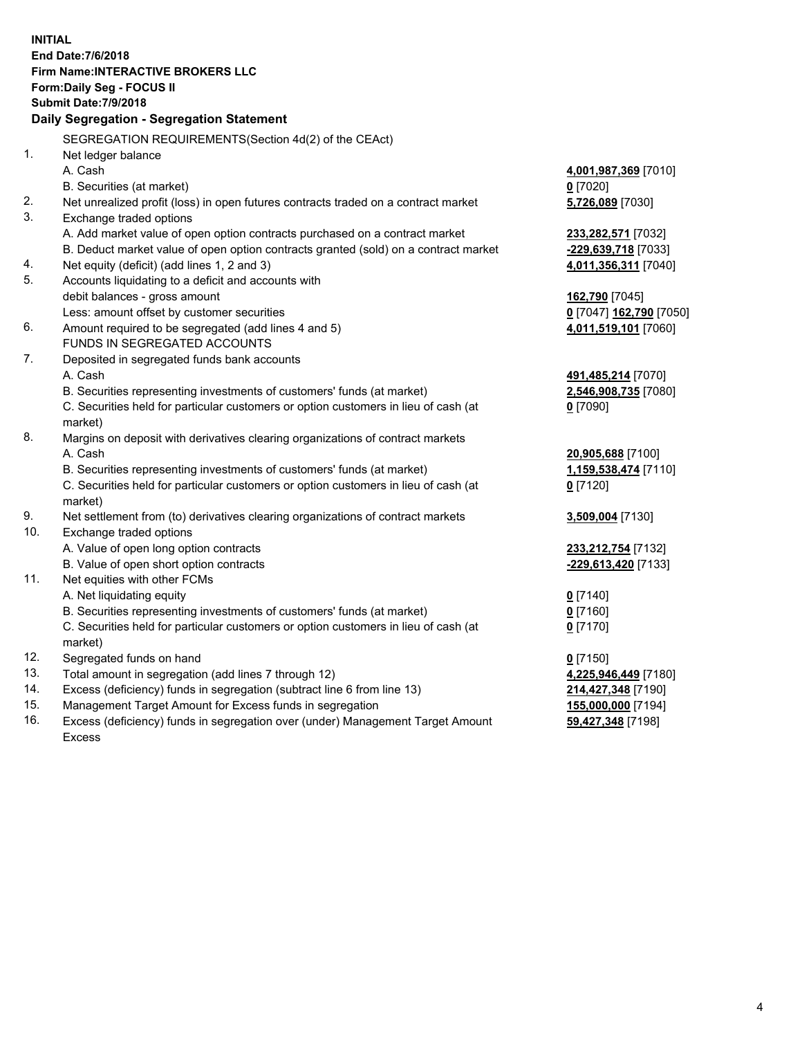**INITIAL End Date:7/6/2018 Firm Name:INTERACTIVE BROKERS LLC Form:Daily Seg - FOCUS II Submit Date:7/9/2018 Daily Segregation - Segregation Statement** SEGREGATION REQUIREMENTS(Section 4d(2) of the CEAct) 1. Net ledger balance A. Cash **4,001,987,369** [7010] B. Securities (at market) **0** [7020] 2. Net unrealized profit (loss) in open futures contracts traded on a contract market **5,726,089** [7030] 3. Exchange traded options A. Add market value of open option contracts purchased on a contract market **233,282,571** [7032] B. Deduct market value of open option contracts granted (sold) on a contract market **-229,639,718** [7033] 4. Net equity (deficit) (add lines 1, 2 and 3) **4,011,356,311** [7040] 5. Accounts liquidating to a deficit and accounts with debit balances - gross amount **162,790** [7045] Less: amount offset by customer securities **0** [7047] **162,790** [7050] 6. Amount required to be segregated (add lines 4 and 5) **4,011,519,101** [7060] FUNDS IN SEGREGATED ACCOUNTS 7. Deposited in segregated funds bank accounts A. Cash **491,485,214** [7070] B. Securities representing investments of customers' funds (at market) **2,546,908,735** [7080] C. Securities held for particular customers or option customers in lieu of cash (at market) **0** [7090] 8. Margins on deposit with derivatives clearing organizations of contract markets A. Cash **20,905,688** [7100] B. Securities representing investments of customers' funds (at market) **1,159,538,474** [7110] C. Securities held for particular customers or option customers in lieu of cash (at market) **0** [7120] 9. Net settlement from (to) derivatives clearing organizations of contract markets **3,509,004** [7130] 10. Exchange traded options A. Value of open long option contracts **233,212,754** [7132] B. Value of open short option contracts **-229,613,420** [7133] 11. Net equities with other FCMs A. Net liquidating equity **0** [7140] B. Securities representing investments of customers' funds (at market) **0** [7160] C. Securities held for particular customers or option customers in lieu of cash (at market) **0** [7170] 12. Segregated funds on hand **0** [7150] 13. Total amount in segregation (add lines 7 through 12) **4,225,946,449** [7180] 14. Excess (deficiency) funds in segregation (subtract line 6 from line 13) **214,427,348** [7190] 15. Management Target Amount for Excess funds in segregation **155,000,000** [7194]

16. Excess (deficiency) funds in segregation over (under) Management Target Amount Excess

**59,427,348** [7198]